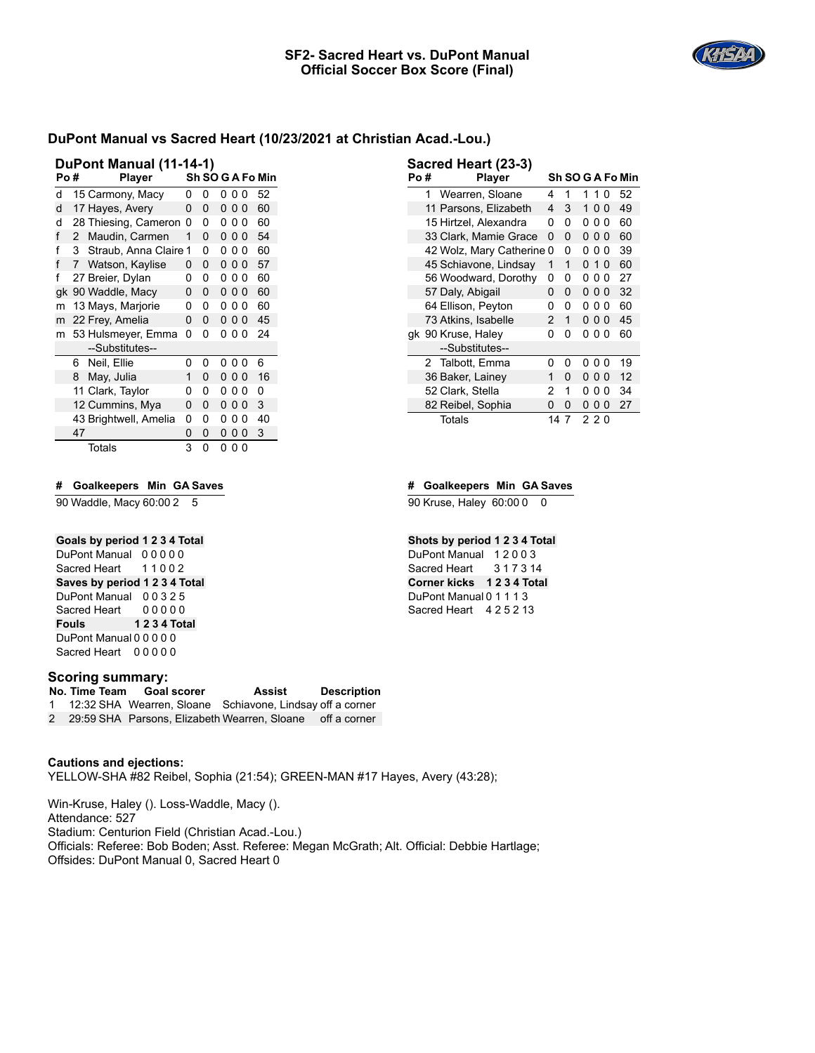

| Po # |    | DuPont Manual (11-14-1)<br><b>Player</b> |   |   |   |     |          | Sh SO G A Fo Min |
|------|----|------------------------------------------|---|---|---|-----|----------|------------------|
| d    |    | 15 Carmony, Macy                         | 0 | 0 | 0 | 00  |          | 52               |
| d    |    | 17 Hayes, Avery                          | 0 | 0 | 0 | 00  |          | 60               |
| d    |    | 28 Thiesing, Cameron                     | 0 | 0 | 0 | 0   | $\Omega$ | 60               |
| f    | 2  | Maudin, Carmen                           | 1 | 0 |   | 000 |          | 54               |
| f    | 3  | Straub, Anna Claire 1                    |   | 0 | 0 | 00  |          | 60               |
| f    | 7  | Watson, Kaylise                          | 0 | 0 | 0 | 00  |          | 57               |
| f    |    | 27 Breier, Dylan                         | 0 | 0 | 0 | 0   | 0        | 60               |
| qk   |    | 90 Waddle, Macy                          | 0 | 0 |   | 000 |          | 60               |
| m    |    | 13 Mays, Marjorie                        | 0 | 0 | 0 | 00  |          | 60               |
| m    |    | 22 Frey, Amelia                          | 0 | 0 | 0 | 00  |          | 45               |
| m    |    | 53 Hulsmeyer, Emma                       | 0 | 0 | 0 | 00  |          | 24               |
|      |    | --Substitutes--                          |   |   |   |     |          |                  |
|      | 6. | Neil, Ellie                              | 0 | 0 | 0 | 00  |          | 6                |
|      | 8  | May, Julia                               | 1 | 0 |   | 000 |          | 16               |
|      |    | 11 Clark, Taylor                         | ი | 0 | 0 | 0   | 0        | 0                |
|      |    | 12 Cummins, Mya                          | 0 | 0 | 0 | 00  |          | 3                |
|      |    | 43 Brightwell, Amelia                    | 0 | 0 | 0 | 0   | 0        | 40               |
|      | 47 |                                          | 0 | 0 | 0 | 00  |          | 3                |
|      |    | Totals                                   | 3 | 0 | 0 | 00  |          |                  |

# **# Goalkeepers Min GA Saves**

90 Waddle, Macy 60:00 2 5

## **Goals by period 1 2 3 4 Total**

DuPont Manual 0 0 0 0 0 Sacred Heart 11002 **Saves by period 1 2 3 4 Total** DuPont Manual 0 0 3 2 5 Sacred Heart 00000 **Fouls 1 2 3 4 Total** DuPont Manual 0 0 0 0 0 Sacred Heart 00000

#### **Scoring summary:**

**No. Time Team Goal scorer Assist Description** 1 12:32 SHA Wearren, Sloane Schiavone, Lindsay off a corner 2 29:59 SHA Parsons, Elizabeth Wearren, Sloane off a corner

**Cautions and ejections:** YELLOW-SHA #82 Reibel, Sophia (21:54); GREEN-MAN #17 Hayes, Avery (43:28);

Win-Kruse, Haley (). Loss-Waddle, Macy (). Attendance: 527 Stadium: Centurion Field (Christian Acad.-Lou.) Officials: Referee: Bob Boden; Asst. Referee: Megan McGrath; Alt. Official: Debbie Hartlage; Offsides: DuPont Manual 0, Sacred Heart 0

| Po # |   | <b>Player</b>             |    |   |   |                |          | Sh SO G A Fo Min |
|------|---|---------------------------|----|---|---|----------------|----------|------------------|
|      | 1 | Wearren, Sloane           | 4  | 1 | 1 | 10             |          | 52               |
|      |   | 11 Parsons, Elizabeth     | 4  | 3 | 1 | 0 <sub>0</sub> |          | 49               |
|      |   | 15 Hirtzel. Alexandra     | 0  | 0 | 0 | 0              | $\Omega$ | 60               |
|      |   | 33 Clark, Mamie Grace     | 0  | 0 |   | 000            |          | 60               |
|      |   | 42 Wolz, Mary Catherine 0 |    | 0 | 0 | 0              | 0        | 39               |
|      |   | 45 Schiavone, Lindsay     | 1  | 1 |   | $0 10$         |          | 60               |
|      |   | 56 Woodward, Dorothy      | 0  | 0 | 0 | 0              | 0        | 27               |
|      |   | 57 Daly, Abigail          | 0  | 0 |   | 000            |          | 32               |
|      |   | 64 Ellison, Peyton        | 0  | 0 | 0 | 0              | 0        | 60               |
|      |   | 73 Atkins, Isabelle       | 2  | 1 |   | 000            |          | 45               |
|      |   | gk 90 Kruse, Haley        | 0  | 0 | 0 | 00             |          | 60               |
|      |   | --Substitutes--           |    |   |   |                |          |                  |
|      |   | 2 Talbott, Emma           | 0  | 0 | 0 | 00             |          | 19               |
|      |   | 36 Baker, Lainey          | 1  | 0 |   | 000            |          | 12               |
|      |   | 52 Clark, Stella          | 2  | 1 | 0 | 0              | 0        | 34               |
|      |   | 82 Reibel, Sophia         | 0  | 0 | 0 | 0 <sub>0</sub> |          | 27               |
|      |   | Totals                    | 14 | 7 |   | 220            |          |                  |

### **# Goalkeepers Min GA Saves**

90 Kruse, Haley 60:00 0 0

**Sacred Heart (23-3)**

### **Shots by period 1 2 3 4 Total**

DuPont Manual 1 2 0 0 3 Sacred Heart 317314 **Corner kicks 1 2 3 4 Total** DuPont Manual 0 1 1 1 3 Sacred Heart 4 2 5 2 13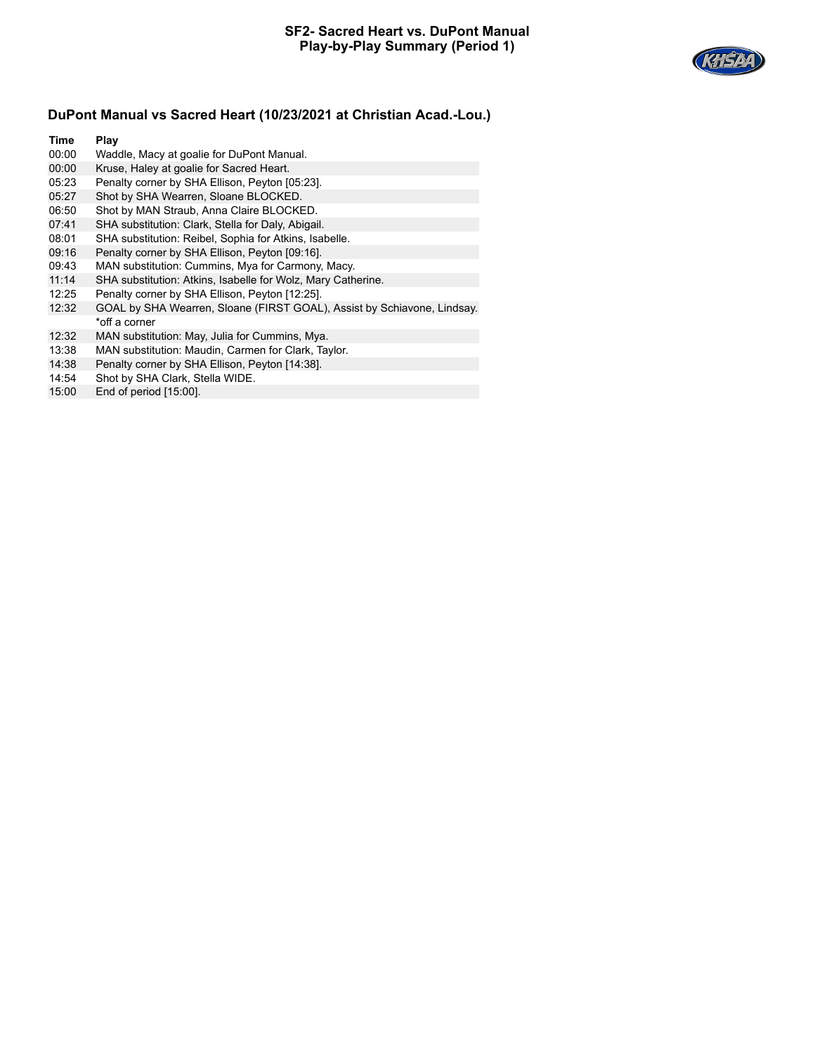

| Time  | Play                                                                    |
|-------|-------------------------------------------------------------------------|
| 00:00 | Waddle, Macy at goalie for DuPont Manual.                               |
| 00:00 | Kruse, Haley at goalie for Sacred Heart.                                |
| 05:23 | Penalty corner by SHA Ellison, Peyton [05:23].                          |
| 05:27 | Shot by SHA Wearren, Sloane BLOCKED.                                    |
| 06:50 | Shot by MAN Straub, Anna Claire BLOCKED.                                |
| 07:41 | SHA substitution: Clark, Stella for Daly, Abigail.                      |
| 08:01 | SHA substitution: Reibel, Sophia for Atkins, Isabelle.                  |
| 09:16 | Penalty corner by SHA Ellison, Peyton [09:16].                          |
| 09:43 | MAN substitution: Cummins, Mya for Carmony, Macy.                       |
| 11:14 | SHA substitution: Atkins, Isabelle for Wolz, Mary Catherine.            |
| 12:25 | Penalty corner by SHA Ellison, Peyton [12:25].                          |
| 12:32 | GOAL by SHA Wearren, Sloane (FIRST GOAL), Assist by Schiavone, Lindsay. |
|       | *off a corner                                                           |
| 12:32 | MAN substitution: May, Julia for Cummins, Mya.                          |
| 13:38 | MAN substitution: Maudin, Carmen for Clark, Taylor.                     |

- 
- 14:38 Penalty corner by SHA Ellison, Peyton [14:38].<br>14:54 Shot by SHA Clark, Stella WIDE. Shot by SHA Clark, Stella WIDE.
- 15:00 End of period [15:00].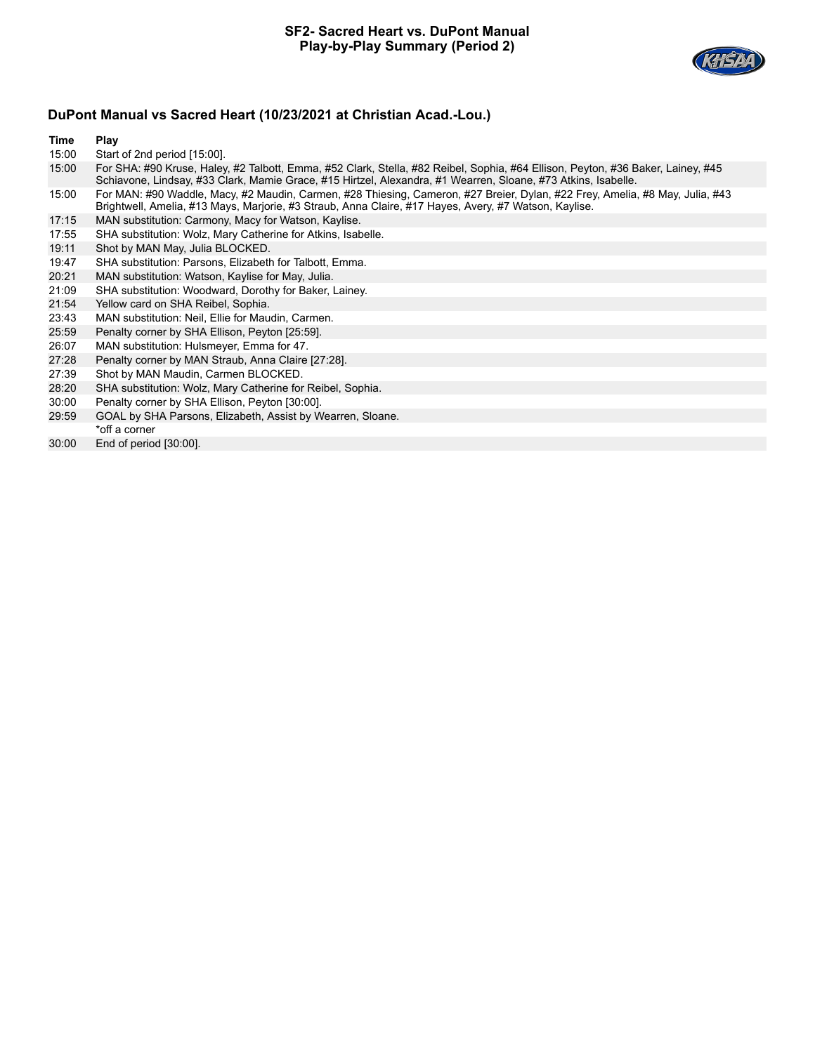

**Time Play**

15:00 Start of 2nd period [15:00].

| 15:00 | For SHA: #90 Kruse, Haley, #2 Talbott, Emma, #52 Clark, Stella, #82 Reibel, Sophia, #64 Ellison, Peyton, #36 Baker, Lainey, #45<br>Schiavone, Lindsay, #33 Clark, Mamie Grace, #15 Hirtzel, Alexandra, #1 Wearren, Sloane, #73 Atkins, Isabelle. |
|-------|--------------------------------------------------------------------------------------------------------------------------------------------------------------------------------------------------------------------------------------------------|
| 15:00 | For MAN: #90 Waddle, Macy, #2 Maudin, Carmen, #28 Thiesing, Cameron, #27 Breier, Dylan, #22 Frey, Amelia, #8 May, Julia, #43                                                                                                                     |

- Brightwell, Amelia, #13 Mays, Marjorie, #3 Straub, Anna Claire, #17 Hayes, Avery, #7 Watson, Kaylise.
- 17:15 MAN substitution: Carmony, Macy for Watson, Kaylise.
- 17:55 SHA substitution: Wolz, Mary Catherine for Atkins, Isabelle.
- 19:11 Shot by MAN May, Julia BLOCKED.
- 19:47 SHA substitution: Parsons, Elizabeth for Talbott, Emma.
- 20:21 MAN substitution: Watson, Kaylise for May, Julia.
- 21:09 SHA substitution: Woodward, Dorothy for Baker, Lainey.
- 21:54 Yellow card on SHA Reibel, Sophia.
- 23:43 MAN substitution: Neil, Ellie for Maudin, Carmen.
- 25:59 Penalty corner by SHA Ellison, Peyton [25:59].
- 26:07 MAN substitution: Hulsmeyer, Emma for 47.
- 27:28 Penalty corner by MAN Straub, Anna Claire [27:28].
- 27:39 Shot by MAN Maudin, Carmen BLOCKED.
- 28:20 SHA substitution: Wolz, Mary Catherine for Reibel, Sophia.
- 30:00 Penalty corner by SHA Ellison, Peyton [30:00].
- 29:59 GOAL by SHA Parsons, Elizabeth, Assist by Wearren, Sloane. \*off a corner
- 30:00 End of period [30:00].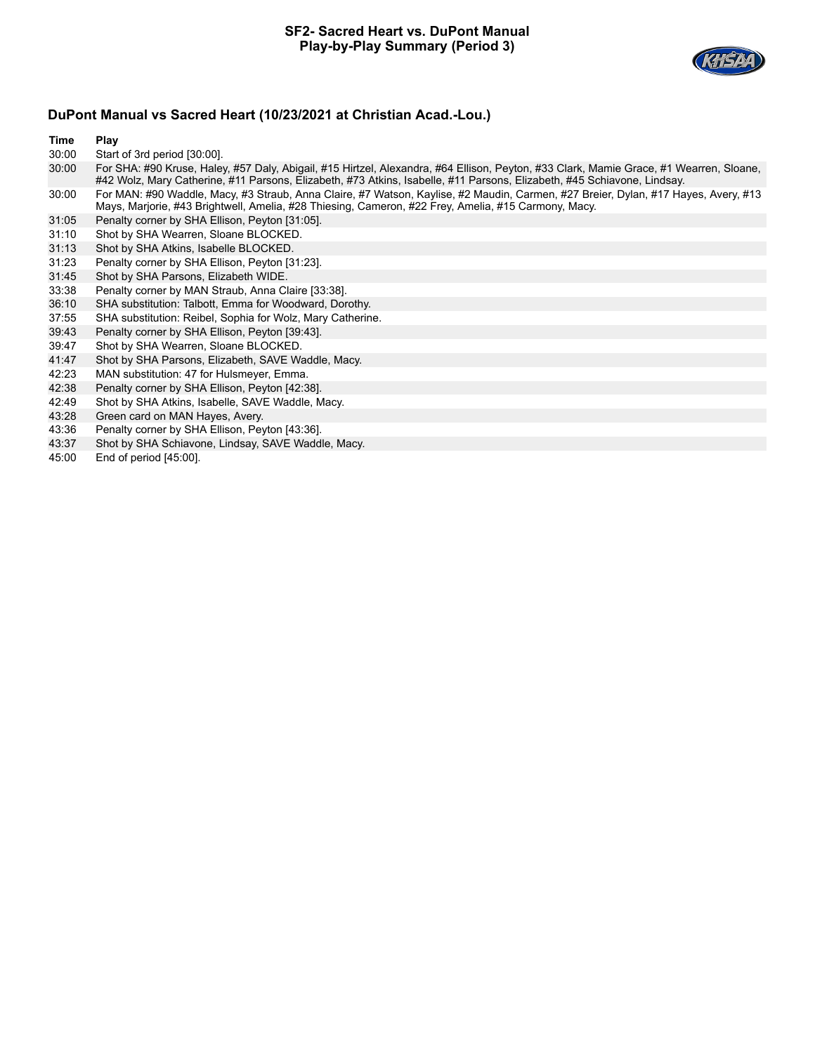

### **Time Play**

30:00 Start of 3rd period [30:00].

| 30:00 | For SHA: #90 Kruse, Haley, #57 Daly, Abigail, #15 Hirtzel, Alexandra, #64 Ellison, Peyton, #33 Clark, Mamie Grace, #1 Wearren, Sloane, |
|-------|----------------------------------------------------------------------------------------------------------------------------------------|
|       | #42 Wolz, Mary Catherine, #11 Parsons, Elizabeth, #73 Atkins, Isabelle, #11 Parsons, Elizabeth, #45 Schiavone, Lindsay.                |
| 30:00 | For MAN: #90 Waddle, Macy, #3 Straub, Anna Claire, #7 Watson, Kaylise, #2 Maudin, Carmen, #27 Breier, Dylan, #17 Hayes, Avery, #13     |
|       | Mays, Marjorie, #43 Brightwell, Amelia, #28 Thiesing, Cameron, #22 Frey, Amelia, #15 Carmony, Macy.                                    |

- 
- 31:05 Penalty corner by SHA Ellison, Peyton [31:05].
- 31:10 Shot by SHA Wearren, Sloane BLOCKED.
- 31:13 Shot by SHA Atkins, Isabelle BLOCKED. 31:23 Penalty corner by SHA Ellison, Peyton [31:23].
- 31:45 Shot by SHA Parsons, Elizabeth WIDE.
- 
- 33:38 Penalty corner by MAN Straub, Anna Claire [33:38].
- 36:10 SHA substitution: Talbott, Emma for Woodward, Dorothy.
- 37:55 SHA substitution: Reibel, Sophia for Wolz, Mary Catherine.
- 39:43 Penalty corner by SHA Ellison, Peyton [39:43].
- 39:47 Shot by SHA Wearren, Sloane BLOCKED.
- 41:47 Shot by SHA Parsons, Elizabeth, SAVE Waddle, Macy.
- 42:23 MAN substitution: 47 for Hulsmeyer, Emma.
- 42:38 Penalty corner by SHA Ellison, Peyton [42:38].
- 42:49 Shot by SHA Atkins, Isabelle, SAVE Waddle, Macy.<br>43:28 Green card on MAN Hayes, Avery.
- Green card on MAN Hayes, Avery.
- 43:36 Penalty corner by SHA Ellison, Peyton [43:36].
- 43:37 Shot by SHA Schiavone, Lindsay, SAVE Waddle, Macy.
- 45:00 End of period [45:00].